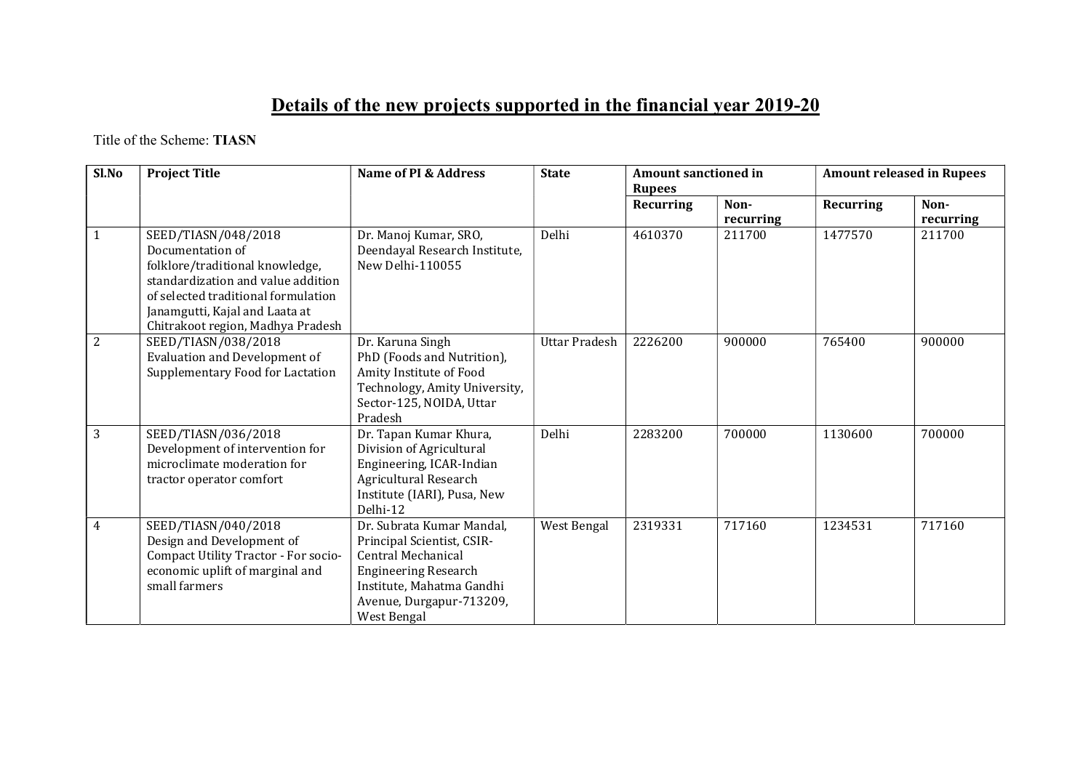## Details of the new projects supported in the financial year 2019-20

Title of the Scheme: TIASN

| Sl.No          | <b>Project Title</b>                                                                                                                                                                                                           | Name of PI & Address                                                                                                                                                                        | <b>State</b>         | <b>Amount sanctioned in</b><br><b>Rupees</b> |                   | <b>Amount released in Rupees</b> |                   |
|----------------|--------------------------------------------------------------------------------------------------------------------------------------------------------------------------------------------------------------------------------|---------------------------------------------------------------------------------------------------------------------------------------------------------------------------------------------|----------------------|----------------------------------------------|-------------------|----------------------------------|-------------------|
|                |                                                                                                                                                                                                                                |                                                                                                                                                                                             |                      | Recurring                                    | Non-<br>recurring | Recurring                        | Non-<br>recurring |
| 1              | SEED/TIASN/048/2018<br>Documentation of<br>folklore/traditional knowledge,<br>standardization and value addition<br>of selected traditional formulation<br>Janamgutti, Kajal and Laata at<br>Chitrakoot region, Madhya Pradesh | Dr. Manoj Kumar, SRO,<br>Deendayal Research Institute,<br>New Delhi-110055                                                                                                                  | Delhi                | 4610370                                      | 211700            | 1477570                          | 211700            |
| $\overline{2}$ | SEED/TIASN/038/2018<br><b>Evaluation and Development of</b><br>Supplementary Food for Lactation                                                                                                                                | Dr. Karuna Singh<br>PhD (Foods and Nutrition),<br>Amity Institute of Food<br>Technology, Amity University,<br>Sector-125, NOIDA, Uttar<br>Pradesh                                           | <b>Uttar Pradesh</b> | 2226200                                      | 900000            | 765400                           | 900000            |
| 3              | SEED/TIASN/036/2018<br>Development of intervention for<br>microclimate moderation for<br>tractor operator comfort                                                                                                              | Dr. Tapan Kumar Khura,<br>Division of Agricultural<br>Engineering, ICAR-Indian<br>Agricultural Research<br>Institute (IARI), Pusa, New<br>Delhi-12                                          | Delhi                | 2283200                                      | 700000            | 1130600                          | 700000            |
| 4              | SEED/TIASN/040/2018<br>Design and Development of<br>Compact Utility Tractor - For socio-<br>economic uplift of marginal and<br>small farmers                                                                                   | Dr. Subrata Kumar Mandal,<br>Principal Scientist, CSIR-<br><b>Central Mechanical</b><br><b>Engineering Research</b><br>Institute, Mahatma Gandhi<br>Avenue, Durgapur-713209,<br>West Bengal | West Bengal          | 2319331                                      | 717160            | 1234531                          | 717160            |